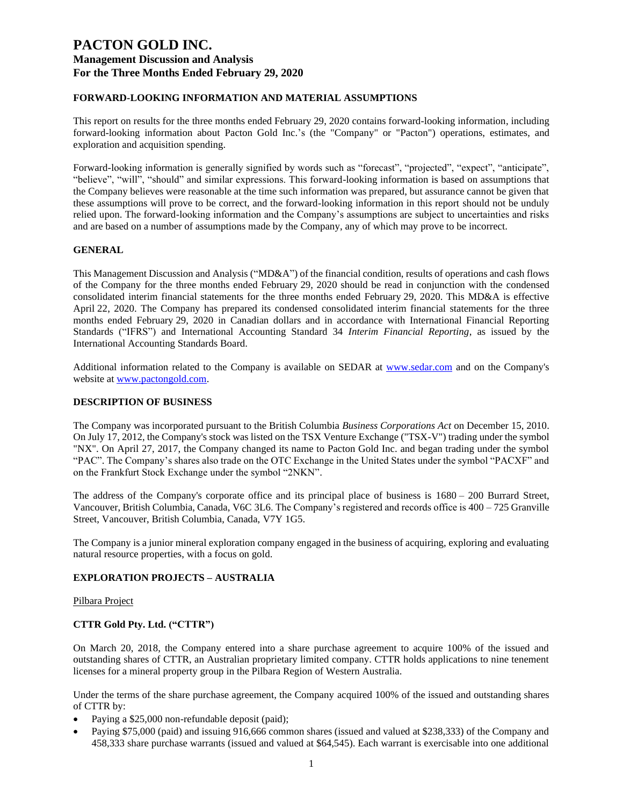### **FORWARD-LOOKING INFORMATION AND MATERIAL ASSUMPTIONS**

This report on results for the three months ended February 29, 2020 contains forward-looking information, including forward-looking information about Pacton Gold Inc.'s (the "Company" or "Pacton") operations, estimates, and exploration and acquisition spending.

Forward-looking information is generally signified by words such as "forecast", "projected", "expect", "anticipate", "believe", "will", "should" and similar expressions. This forward-looking information is based on assumptions that the Company believes were reasonable at the time such information was prepared, but assurance cannot be given that these assumptions will prove to be correct, and the forward-looking information in this report should not be unduly relied upon. The forward-looking information and the Company's assumptions are subject to uncertainties and risks and are based on a number of assumptions made by the Company, any of which may prove to be incorrect.

### **GENERAL**

This Management Discussion and Analysis ("MD&A") of the financial condition, results of operations and cash flows of the Company for the three months ended February 29, 2020 should be read in conjunction with the condensed consolidated interim financial statements for the three months ended February 29, 2020. This MD&A is effective April 22, 2020. The Company has prepared its condensed consolidated interim financial statements for the three months ended February 29, 2020 in Canadian dollars and in accordance with International Financial Reporting Standards ("IFRS") and International Accounting Standard 34 *Interim Financial Reporting*, as issued by the International Accounting Standards Board.

Additional information related to the Company is available on SEDAR at [www.sedar.com](http://www.sedar.com/) and on the Company's website at [www.pactongold.com.](http://www.pactongold.com/)

#### **DESCRIPTION OF BUSINESS**

The Company was incorporated pursuant to the British Columbia *Business Corporations Act* on December 15, 2010. On July 17, 2012, the Company's stock was listed on the TSX Venture Exchange ("TSX-V") trading under the symbol "NX". On April 27, 2017, the Company changed its name to Pacton Gold Inc. and began trading under the symbol "PAC". The Company's shares also trade on the OTC Exchange in the United States under the symbol "PACXF" and on the Frankfurt Stock Exchange under the symbol "2NKN".

The address of the Company's corporate office and its principal place of business is 1680 – 200 Burrard Street, Vancouver, British Columbia, Canada, V6C 3L6. The Company's registered and records office is 400 – 725 Granville Street, Vancouver, British Columbia, Canada, V7Y 1G5.

The Company is a junior mineral exploration company engaged in the business of acquiring, exploring and evaluating natural resource properties, with a focus on gold.

#### **EXPLORATION PROJECTS – AUSTRALIA**

#### Pilbara Project

### **CTTR Gold Pty. Ltd. ("CTTR")**

On March 20, 2018, the Company entered into a share purchase agreement to acquire 100% of the issued and outstanding shares of CTTR, an Australian proprietary limited company. CTTR holds applications to nine tenement licenses for a mineral property group in the Pilbara Region of Western Australia.

Under the terms of the share purchase agreement, the Company acquired 100% of the issued and outstanding shares of CTTR by:

- Paying a \$25,000 non-refundable deposit (paid);
- Paying \$75,000 (paid) and issuing 916,666 common shares (issued and valued at \$238,333) of the Company and 458,333 share purchase warrants (issued and valued at \$64,545). Each warrant is exercisable into one additional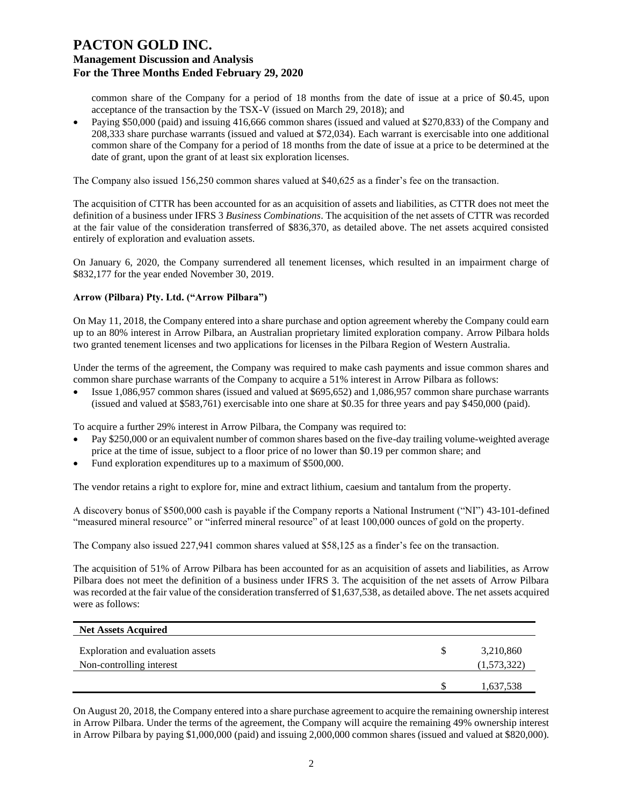common share of the Company for a period of 18 months from the date of issue at a price of \$0.45, upon acceptance of the transaction by the TSX-V (issued on March 29, 2018); and

• Paying \$50,000 (paid) and issuing 416,666 common shares (issued and valued at \$270,833) of the Company and 208,333 share purchase warrants (issued and valued at \$72,034). Each warrant is exercisable into one additional common share of the Company for a period of 18 months from the date of issue at a price to be determined at the date of grant, upon the grant of at least six exploration licenses.

The Company also issued 156,250 common shares valued at \$40,625 as a finder's fee on the transaction.

The acquisition of CTTR has been accounted for as an acquisition of assets and liabilities, as CTTR does not meet the definition of a business under IFRS 3 *Business Combinations*. The acquisition of the net assets of CTTR was recorded at the fair value of the consideration transferred of \$836,370, as detailed above. The net assets acquired consisted entirely of exploration and evaluation assets.

On January 6, 2020, the Company surrendered all tenement licenses, which resulted in an impairment charge of \$832,177 for the year ended November 30, 2019.

#### **Arrow (Pilbara) Pty. Ltd. ("Arrow Pilbara")**

On May 11, 2018, the Company entered into a share purchase and option agreement whereby the Company could earn up to an 80% interest in Arrow Pilbara, an Australian proprietary limited exploration company. Arrow Pilbara holds two granted tenement licenses and two applications for licenses in the Pilbara Region of Western Australia.

Under the terms of the agreement, the Company was required to make cash payments and issue common shares and common share purchase warrants of the Company to acquire a 51% interest in Arrow Pilbara as follows:

• Issue 1,086,957 common shares (issued and valued at \$695,652) and 1,086,957 common share purchase warrants (issued and valued at \$583,761) exercisable into one share at \$0.35 for three years and pay \$450,000 (paid).

To acquire a further 29% interest in Arrow Pilbara, the Company was required to:

- Pay \$250,000 or an equivalent number of common shares based on the five-day trailing volume-weighted average price at the time of issue, subject to a floor price of no lower than \$0.19 per common share; and
- Fund exploration expenditures up to a maximum of \$500,000.

The vendor retains a right to explore for, mine and extract lithium, caesium and tantalum from the property.

A discovery bonus of \$500,000 cash is payable if the Company reports a National Instrument ("NI") 43-101-defined "measured mineral resource" or "inferred mineral resource" of at least 100,000 ounces of gold on the property.

The Company also issued 227,941 common shares valued at \$58,125 as a finder's fee on the transaction.

The acquisition of 51% of Arrow Pilbara has been accounted for as an acquisition of assets and liabilities, as Arrow Pilbara does not meet the definition of a business under IFRS 3. The acquisition of the net assets of Arrow Pilbara was recorded at the fair value of the consideration transferred of \$1,637,538, as detailed above. The net assets acquired were as follows:

| <b>Net Assets Acquired</b>                                    |                          |
|---------------------------------------------------------------|--------------------------|
| Exploration and evaluation assets<br>Non-controlling interest | 3,210,860<br>(1,573,322) |
|                                                               | 1,637,538                |

On August 20, 2018, the Company entered into a share purchase agreement to acquire the remaining ownership interest in Arrow Pilbara. Under the terms of the agreement, the Company will acquire the remaining 49% ownership interest in Arrow Pilbara by paying \$1,000,000 (paid) and issuing 2,000,000 common shares (issued and valued at \$820,000).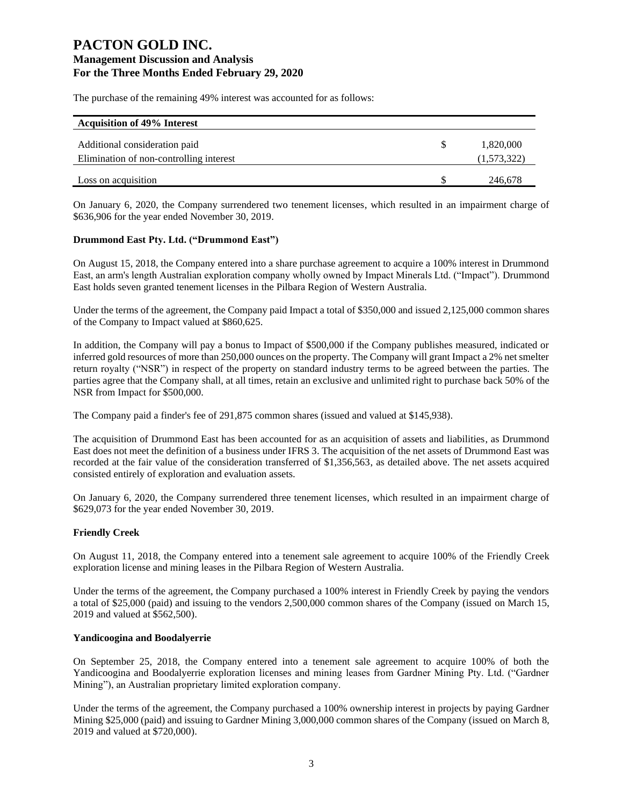The purchase of the remaining 49% interest was accounted for as follows:

| <b>Acquisition of 49% Interest</b>      |             |
|-----------------------------------------|-------------|
| Additional consideration paid           | 1,820,000   |
|                                         |             |
| Elimination of non-controlling interest | (1,573,322) |
|                                         |             |
| Loss on acquisition                     | 246,678     |

On January 6, 2020, the Company surrendered two tenement licenses, which resulted in an impairment charge of \$636,906 for the year ended November 30, 2019.

### **Drummond East Pty. Ltd. ("Drummond East")**

On August 15, 2018, the Company entered into a share purchase agreement to acquire a 100% interest in Drummond East, an arm's length Australian exploration company wholly owned by Impact Minerals Ltd. ("Impact"). Drummond East holds seven granted tenement licenses in the Pilbara Region of Western Australia.

Under the terms of the agreement, the Company paid Impact a total of \$350,000 and issued 2,125,000 common shares of the Company to Impact valued at \$860,625.

In addition, the Company will pay a bonus to Impact of \$500,000 if the Company publishes measured, indicated or inferred gold resources of more than 250,000 ounces on the property. The Company will grant Impact a 2% net smelter return royalty ("NSR") in respect of the property on standard industry terms to be agreed between the parties. The parties agree that the Company shall, at all times, retain an exclusive and unlimited right to purchase back 50% of the NSR from Impact for \$500,000.

The Company paid a finder's fee of 291,875 common shares (issued and valued at \$145,938).

The acquisition of Drummond East has been accounted for as an acquisition of assets and liabilities, as Drummond East does not meet the definition of a business under IFRS 3. The acquisition of the net assets of Drummond East was recorded at the fair value of the consideration transferred of \$1,356,563, as detailed above. The net assets acquired consisted entirely of exploration and evaluation assets.

On January 6, 2020, the Company surrendered three tenement licenses, which resulted in an impairment charge of \$629,073 for the year ended November 30, 2019.

### **Friendly Creek**

On August 11, 2018, the Company entered into a tenement sale agreement to acquire 100% of the Friendly Creek exploration license and mining leases in the Pilbara Region of Western Australia.

Under the terms of the agreement, the Company purchased a 100% interest in Friendly Creek by paying the vendors a total of \$25,000 (paid) and issuing to the vendors 2,500,000 common shares of the Company (issued on March 15, 2019 and valued at \$562,500).

### **Yandicoogina and Boodalyerrie**

On September 25, 2018, the Company entered into a tenement sale agreement to acquire 100% of both the Yandicoogina and Boodalyerrie exploration licenses and mining leases from Gardner Mining Pty. Ltd. ("Gardner Mining"), an Australian proprietary limited exploration company.

Under the terms of the agreement, the Company purchased a 100% ownership interest in projects by paying Gardner Mining \$25,000 (paid) and issuing to Gardner Mining 3,000,000 common shares of the Company (issued on March 8, 2019 and valued at \$720,000).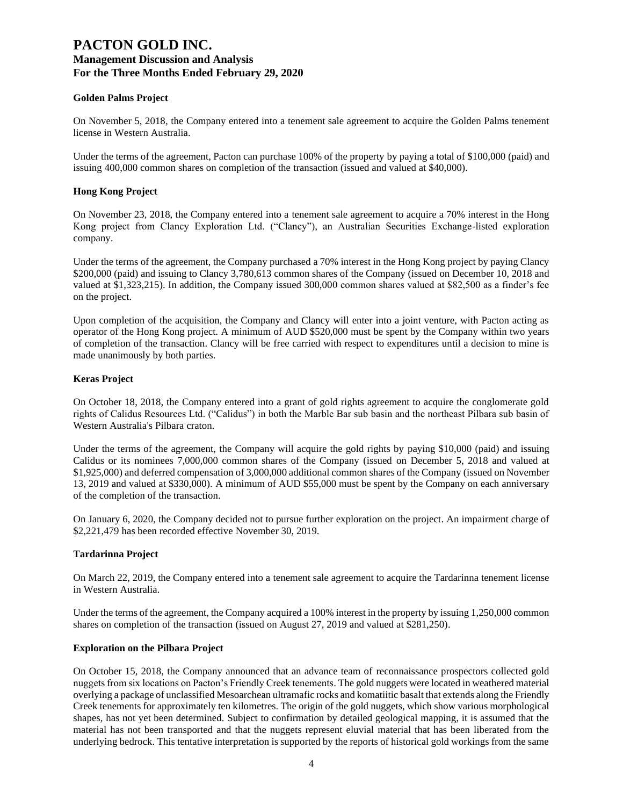### **Golden Palms Project**

On November 5, 2018, the Company entered into a tenement sale agreement to acquire the Golden Palms tenement license in Western Australia.

Under the terms of the agreement, Pacton can purchase 100% of the property by paying a total of \$100,000 (paid) and issuing 400,000 common shares on completion of the transaction (issued and valued at \$40,000).

### **Hong Kong Project**

On November 23, 2018, the Company entered into a tenement sale agreement to acquire a 70% interest in the Hong Kong project from Clancy Exploration Ltd. ("Clancy"), an Australian Securities Exchange-listed exploration company.

Under the terms of the agreement, the Company purchased a 70% interest in the Hong Kong project by paying Clancy \$200,000 (paid) and issuing to Clancy 3,780,613 common shares of the Company (issued on December 10, 2018 and valued at \$1,323,215). In addition, the Company issued 300,000 common shares valued at \$82,500 as a finder's fee on the project.

Upon completion of the acquisition, the Company and Clancy will enter into a joint venture, with Pacton acting as operator of the Hong Kong project. A minimum of AUD \$520,000 must be spent by the Company within two years of completion of the transaction. Clancy will be free carried with respect to expenditures until a decision to mine is made unanimously by both parties.

### **Keras Project**

On October 18, 2018, the Company entered into a grant of gold rights agreement to acquire the conglomerate gold rights of Calidus Resources Ltd. ("Calidus") in both the Marble Bar sub basin and the northeast Pilbara sub basin of Western Australia's Pilbara craton.

Under the terms of the agreement, the Company will acquire the gold rights by paying \$10,000 (paid) and issuing Calidus or its nominees 7,000,000 common shares of the Company (issued on December 5, 2018 and valued at \$1,925,000) and deferred compensation of 3,000,000 additional common shares of the Company (issued on November 13, 2019 and valued at \$330,000). A minimum of AUD \$55,000 must be spent by the Company on each anniversary of the completion of the transaction.

On January 6, 2020, the Company decided not to pursue further exploration on the project. An impairment charge of \$2,221,479 has been recorded effective November 30, 2019.

### **Tardarinna Project**

On March 22, 2019, the Company entered into a tenement sale agreement to acquire the Tardarinna tenement license in Western Australia.

Under the terms of the agreement, the Company acquired a 100% interest in the property by issuing 1,250,000 common shares on completion of the transaction (issued on August 27, 2019 and valued at \$281,250).

### **Exploration on the Pilbara Project**

On October 15, 2018, the Company announced that an advance team of reconnaissance prospectors collected gold nuggets from six locations on Pacton's Friendly Creek tenements. The gold nuggets were located in weathered material overlying a package of unclassified Mesoarchean ultramafic rocks and komatiitic basalt that extends along the Friendly Creek tenements for approximately ten kilometres. The origin of the gold nuggets, which show various morphological shapes, has not yet been determined. Subject to confirmation by detailed geological mapping, it is assumed that the material has not been transported and that the nuggets represent eluvial material that has been liberated from the underlying bedrock. This tentative interpretation is supported by the reports of historical gold workings from the same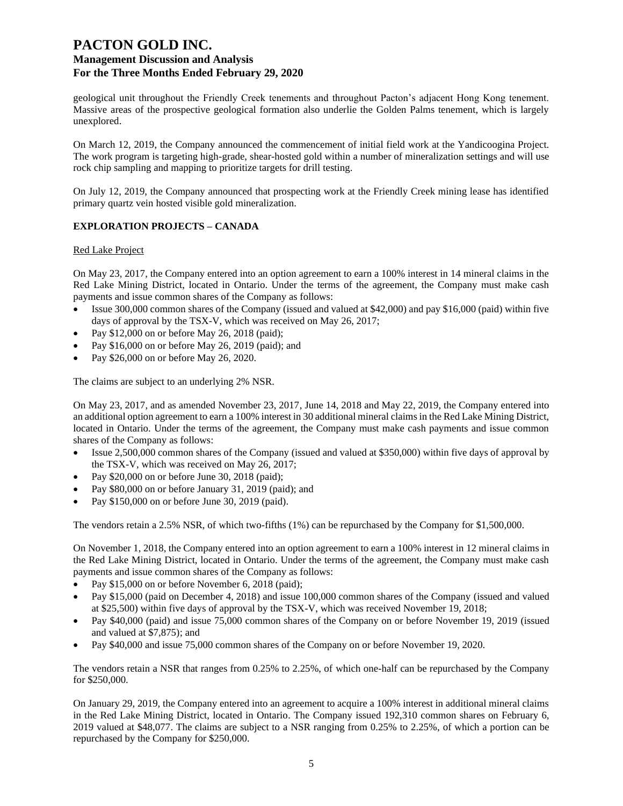geological unit throughout the Friendly Creek tenements and throughout Pacton's adjacent Hong Kong tenement. Massive areas of the prospective geological formation also underlie the Golden Palms tenement, which is largely unexplored.

On March 12, 2019, the Company announced the commencement of initial field work at the Yandicoogina Project. The work program is targeting high-grade, shear-hosted gold within a number of mineralization settings and will use rock chip sampling and mapping to prioritize targets for drill testing.

On July 12, 2019, the Company announced that prospecting work at the Friendly Creek mining lease has identified primary quartz vein hosted visible gold mineralization.

### **EXPLORATION PROJECTS – CANADA**

#### Red Lake Project

On May 23, 2017, the Company entered into an option agreement to earn a 100% interest in 14 mineral claims in the Red Lake Mining District, located in Ontario. Under the terms of the agreement, the Company must make cash payments and issue common shares of the Company as follows:

- Issue 300,000 common shares of the Company (issued and valued at \$42,000) and pay \$16,000 (paid) within five days of approval by the TSX-V, which was received on May 26, 2017;
- Pay \$12,000 on or before May 26, 2018 (paid);
- Pay \$16,000 on or before May 26, 2019 (paid); and
- Pay \$26,000 on or before May 26, 2020.

The claims are subject to an underlying 2% NSR.

On May 23, 2017, and as amended November 23, 2017, June 14, 2018 and May 22, 2019, the Company entered into an additional option agreement to earn a 100% interest in 30 additional mineral claims in the Red Lake Mining District, located in Ontario. Under the terms of the agreement, the Company must make cash payments and issue common shares of the Company as follows:

- Issue 2,500,000 common shares of the Company (issued and valued at \$350,000) within five days of approval by the TSX-V, which was received on May 26, 2017;
- Pay \$20,000 on or before June 30, 2018 (paid);
- Pay \$80,000 on or before January 31, 2019 (paid); and
- Pay \$150,000 on or before June 30, 2019 (paid).

The vendors retain a 2.5% NSR, of which two-fifths (1%) can be repurchased by the Company for \$1,500,000.

On November 1, 2018, the Company entered into an option agreement to earn a 100% interest in 12 mineral claims in the Red Lake Mining District, located in Ontario. Under the terms of the agreement, the Company must make cash payments and issue common shares of the Company as follows:

- Pay \$15,000 on or before November 6, 2018 (paid);
- Pay \$15,000 (paid on December 4, 2018) and issue 100,000 common shares of the Company (issued and valued at \$25,500) within five days of approval by the TSX-V, which was received November 19, 2018;
- Pay \$40,000 (paid) and issue 75,000 common shares of the Company on or before November 19, 2019 (issued and valued at \$7,875); and
- Pay \$40,000 and issue 75,000 common shares of the Company on or before November 19, 2020.

The vendors retain a NSR that ranges from 0.25% to 2.25%, of which one-half can be repurchased by the Company for \$250,000.

On January 29, 2019, the Company entered into an agreement to acquire a 100% interest in additional mineral claims in the Red Lake Mining District, located in Ontario. The Company issued 192,310 common shares on February 6, 2019 valued at \$48,077. The claims are subject to a NSR ranging from 0.25% to 2.25%, of which a portion can be repurchased by the Company for \$250,000.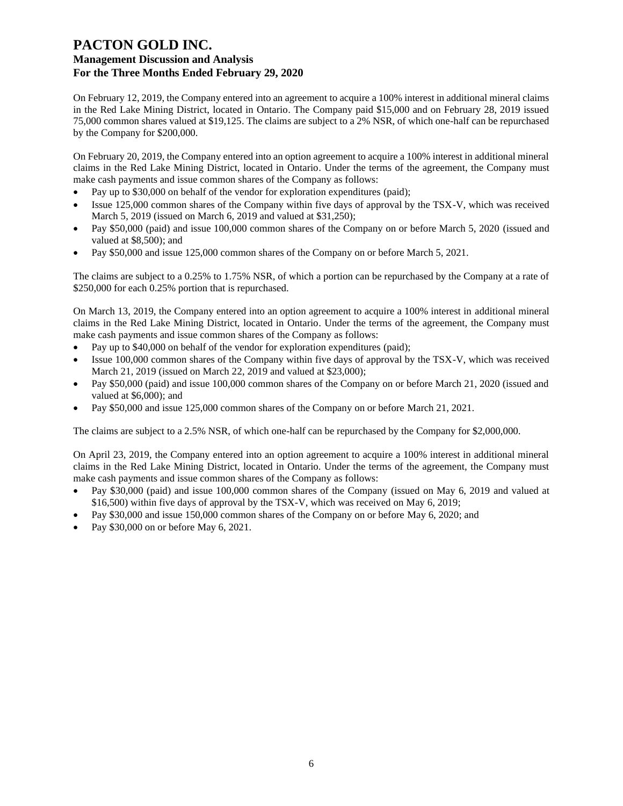### **Management Discussion and Analysis For the Three Months Ended February 29, 2020**

On February 12, 2019, the Company entered into an agreement to acquire a 100% interest in additional mineral claims in the Red Lake Mining District, located in Ontario. The Company paid \$15,000 and on February 28, 2019 issued 75,000 common shares valued at \$19,125. The claims are subject to a 2% NSR, of which one-half can be repurchased by the Company for \$200,000.

On February 20, 2019, the Company entered into an option agreement to acquire a 100% interest in additional mineral claims in the Red Lake Mining District, located in Ontario. Under the terms of the agreement, the Company must make cash payments and issue common shares of the Company as follows:

- Pay up to \$30,000 on behalf of the vendor for exploration expenditures (paid);
- Issue 125,000 common shares of the Company within five days of approval by the TSX-V, which was received March 5, 2019 (issued on March 6, 2019 and valued at \$31,250);
- Pay \$50,000 (paid) and issue 100,000 common shares of the Company on or before March 5, 2020 (issued and valued at \$8,500); and
- Pay \$50,000 and issue 125,000 common shares of the Company on or before March 5, 2021.

The claims are subject to a 0.25% to 1.75% NSR, of which a portion can be repurchased by the Company at a rate of \$250,000 for each 0.25% portion that is repurchased.

On March 13, 2019, the Company entered into an option agreement to acquire a 100% interest in additional mineral claims in the Red Lake Mining District, located in Ontario. Under the terms of the agreement, the Company must make cash payments and issue common shares of the Company as follows:

- Pay up to \$40,000 on behalf of the vendor for exploration expenditures (paid);
- Issue 100,000 common shares of the Company within five days of approval by the TSX-V, which was received March 21, 2019 (issued on March 22, 2019 and valued at \$23,000);
- Pay \$50,000 (paid) and issue 100,000 common shares of the Company on or before March 21, 2020 (issued and valued at \$6,000); and
- Pay \$50,000 and issue 125,000 common shares of the Company on or before March 21, 2021.

The claims are subject to a 2.5% NSR, of which one-half can be repurchased by the Company for \$2,000,000.

On April 23, 2019, the Company entered into an option agreement to acquire a 100% interest in additional mineral claims in the Red Lake Mining District, located in Ontario. Under the terms of the agreement, the Company must make cash payments and issue common shares of the Company as follows:

- Pay \$30,000 (paid) and issue 100,000 common shares of the Company (issued on May 6, 2019 and valued at \$16,500) within five days of approval by the TSX-V, which was received on May 6, 2019;
- Pay \$30,000 and issue 150,000 common shares of the Company on or before May 6, 2020; and
- Pay \$30,000 on or before May 6, 2021.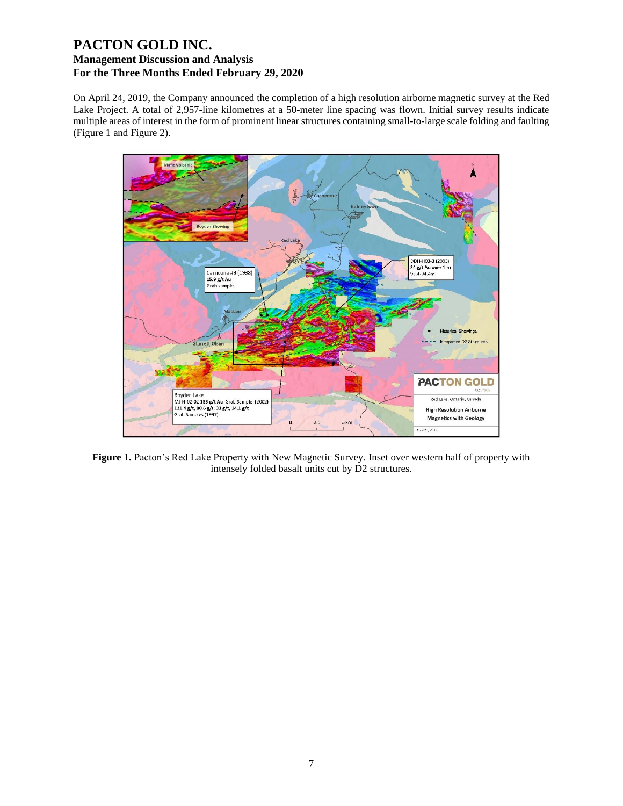On April 24, 2019, the Company announced the completion of a high resolution airborne magnetic survey at the Red Lake Project. A total of 2,957-line kilometres at a 50-meter line spacing was flown. Initial survey results indicate multiple areas of interest in the form of prominent linear structures containing small-to-large scale folding and faulting (Figure 1 and Figure 2).



Figure 1. Pacton's Red Lake Property with New Magnetic Survey. Inset over western half of property with intensely folded basalt units cut by D2 structures.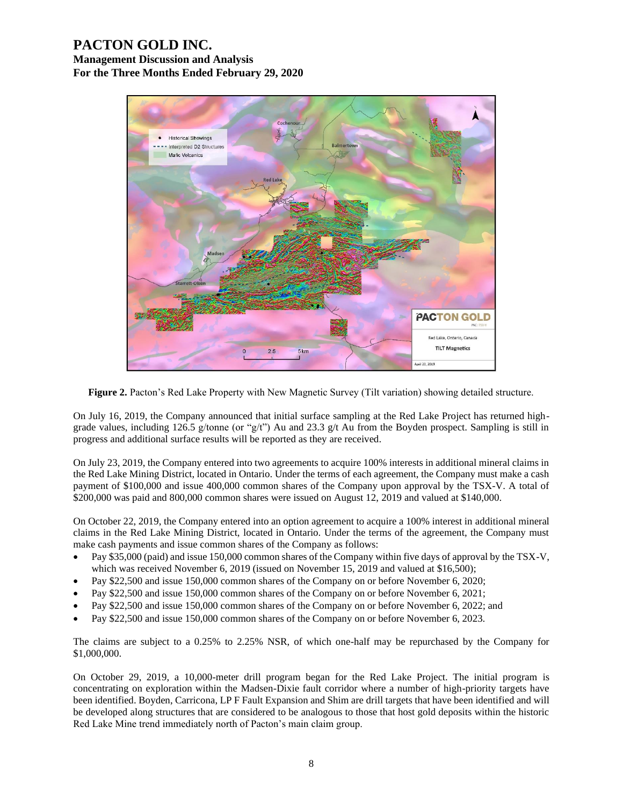**Management Discussion and Analysis For the Three Months Ended February 29, 2020**



**Figure 2.** Pacton's Red Lake Property with New Magnetic Survey (Tilt variation) showing detailed structure.

On July 16, 2019, the Company announced that initial surface sampling at the Red Lake Project has returned highgrade values, including 126.5 g/tonne (or "g/t") Au and 23.3 g/t Au from the Boyden prospect. Sampling is still in progress and additional surface results will be reported as they are received.

On July 23, 2019, the Company entered into two agreements to acquire 100% interests in additional mineral claims in the Red Lake Mining District, located in Ontario. Under the terms of each agreement, the Company must make a cash payment of \$100,000 and issue 400,000 common shares of the Company upon approval by the TSX-V. A total of \$200,000 was paid and 800,000 common shares were issued on August 12, 2019 and valued at \$140,000.

On October 22, 2019, the Company entered into an option agreement to acquire a 100% interest in additional mineral claims in the Red Lake Mining District, located in Ontario. Under the terms of the agreement, the Company must make cash payments and issue common shares of the Company as follows:

- Pay \$35,000 (paid) and issue 150,000 common shares of the Company within five days of approval by the TSX-V, which was received November 6, 2019 (issued on November 15, 2019 and valued at \$16,500);
- Pay \$22,500 and issue 150,000 common shares of the Company on or before November 6, 2020;
- Pay \$22,500 and issue 150,000 common shares of the Company on or before November 6, 2021;
- Pay \$22,500 and issue 150,000 common shares of the Company on or before November 6, 2022; and
- Pay \$22,500 and issue 150,000 common shares of the Company on or before November 6, 2023.

The claims are subject to a 0.25% to 2.25% NSR, of which one-half may be repurchased by the Company for \$1,000,000.

On October 29, 2019, a 10,000-meter drill program began for the Red Lake Project. The initial program is concentrating on exploration within the Madsen-Dixie fault corridor where a number of high-priority targets have been identified. Boyden, Carricona, LP F Fault Expansion and Shim are drill targets that have been identified and will be developed along structures that are considered to be analogous to those that host gold deposits within the historic Red Lake Mine trend immediately north of Pacton's main claim group.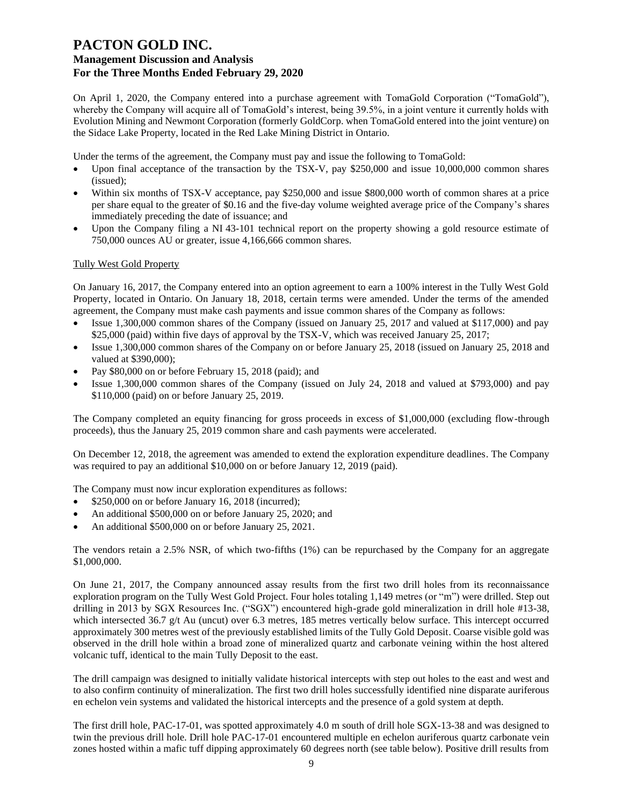### **Management Discussion and Analysis For the Three Months Ended February 29, 2020**

On April 1, 2020, the Company entered into a purchase agreement with TomaGold Corporation ("TomaGold"), whereby the Company will acquire all of TomaGold's interest, being 39.5%, in a joint venture it currently holds with Evolution Mining and Newmont Corporation (formerly GoldCorp. when TomaGold entered into the joint venture) on the Sidace Lake Property, located in the Red Lake Mining District in Ontario.

Under the terms of the agreement, the Company must pay and issue the following to TomaGold:

- Upon final acceptance of the transaction by the TSX-V, pay \$250,000 and issue 10,000,000 common shares (issued);
- Within six months of TSX-V acceptance, pay \$250,000 and issue \$800,000 worth of common shares at a price per share equal to the greater of \$0.16 and the five-day volume weighted average price of the Company's shares immediately preceding the date of issuance; and
- Upon the Company filing a NI 43-101 technical report on the property showing a gold resource estimate of 750,000 ounces AU or greater, issue 4,166,666 common shares.

### Tully West Gold Property

On January 16, 2017, the Company entered into an option agreement to earn a 100% interest in the Tully West Gold Property, located in Ontario. On January 18, 2018, certain terms were amended. Under the terms of the amended agreement, the Company must make cash payments and issue common shares of the Company as follows:

- Issue 1,300,000 common shares of the Company (issued on January 25, 2017 and valued at \$117,000) and pay \$25,000 (paid) within five days of approval by the TSX-V, which was received January 25, 2017;
- Issue 1,300,000 common shares of the Company on or before January 25, 2018 (issued on January 25, 2018 and valued at \$390,000);
- Pay \$80,000 on or before February 15, 2018 (paid); and
- Issue 1,300,000 common shares of the Company (issued on July 24, 2018 and valued at \$793,000) and pay \$110,000 (paid) on or before January 25, 2019.

The Company completed an equity financing for gross proceeds in excess of \$1,000,000 (excluding flow-through proceeds), thus the January 25, 2019 common share and cash payments were accelerated.

On December 12, 2018, the agreement was amended to extend the exploration expenditure deadlines. The Company was required to pay an additional \$10,000 on or before January 12, 2019 (paid).

The Company must now incur exploration expenditures as follows:

- \$250,000 on or before January 16, 2018 (incurred);
- An additional \$500,000 on or before January 25, 2020; and
- An additional \$500,000 on or before January 25, 2021.

The vendors retain a 2.5% NSR, of which two-fifths (1%) can be repurchased by the Company for an aggregate \$1,000,000.

On June 21, 2017, the Company announced assay results from the first two drill holes from its reconnaissance exploration program on the Tully West Gold Project. Four holes totaling 1,149 metres (or "m") were drilled. Step out drilling in 2013 by SGX Resources Inc. ("SGX") encountered high-grade gold mineralization in drill hole #13-38, which intersected 36.7 g/t Au (uncut) over 6.3 metres, 185 metres vertically below surface. This intercept occurred approximately 300 metres west of the previously established limits of the Tully Gold Deposit. Coarse visible gold was observed in the drill hole within a broad zone of mineralized quartz and carbonate veining within the host altered volcanic tuff, identical to the main Tully Deposit to the east.

The drill campaign was designed to initially validate historical intercepts with step out holes to the east and west and to also confirm continuity of mineralization. The first two drill holes successfully identified nine disparate auriferous en echelon vein systems and validated the historical intercepts and the presence of a gold system at depth.

The first drill hole, PAC-17-01, was spotted approximately 4.0 m south of drill hole SGX-13-38 and was designed to twin the previous drill hole. Drill hole PAC-17-01 encountered multiple en echelon auriferous quartz carbonate vein zones hosted within a mafic tuff dipping approximately 60 degrees north (see table below). Positive drill results from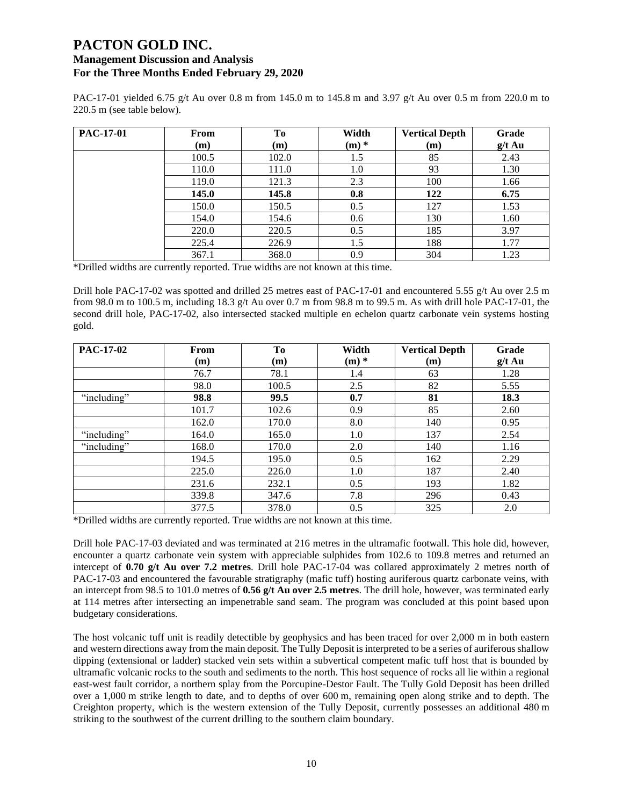### **Management Discussion and Analysis For the Three Months Ended February 29, 2020**

PAC-17-01 yielded 6.75 g/t Au over 0.8 m from 145.0 m to 145.8 m and 3.97 g/t Au over 0.5 m from 220.0 m to 220.5 m (see table below).

| PAC-17-01 | From  | To    | Width   | <b>Vertical Depth</b> | Grade    |
|-----------|-------|-------|---------|-----------------------|----------|
|           | (m)   | (m)   | $(m)$ * | (m)                   | $g/t$ Au |
|           | 100.5 | 102.0 | 1.5     | 85                    | 2.43     |
|           | 110.0 | 111.0 | 1.0     | 93                    | 1.30     |
|           | 119.0 | 121.3 | 2.3     | 100                   | 1.66     |
|           | 145.0 | 145.8 | 0.8     | 122                   | 6.75     |
|           | 150.0 | 150.5 | 0.5     | 127                   | 1.53     |
|           | 154.0 | 154.6 | 0.6     | 130                   | 1.60     |
|           | 220.0 | 220.5 | 0.5     | 185                   | 3.97     |
|           | 225.4 | 226.9 | 1.5     | 188                   | 1.77     |
|           | 367.1 | 368.0 | 0.9     | 304                   | 1.23     |

\*Drilled widths are currently reported. True widths are not known at this time.

Drill hole PAC-17-02 was spotted and drilled 25 metres east of PAC-17-01 and encountered 5.55 g/t Au over 2.5 m from 98.0 m to 100.5 m, including 18.3 g/t Au over 0.7 m from 98.8 m to 99.5 m. As with drill hole PAC-17-01, the second drill hole, PAC-17-02, also intersected stacked multiple en echelon quartz carbonate vein systems hosting gold.

| <b>PAC-17-02</b> | From  | To    | Width   | <b>Vertical Depth</b> | Grade    |
|------------------|-------|-------|---------|-----------------------|----------|
|                  | (m)   | (m)   | $(m)$ * | (m)                   | $g/t$ Au |
|                  | 76.7  | 78.1  | 1.4     | 63                    | 1.28     |
|                  | 98.0  | 100.5 | 2.5     | 82                    | 5.55     |
| "including"      | 98.8  | 99.5  | 0.7     | 81                    | 18.3     |
|                  | 101.7 | 102.6 | 0.9     | 85                    | 2.60     |
|                  | 162.0 | 170.0 | 8.0     | 140                   | 0.95     |
| "including"      | 164.0 | 165.0 | 1.0     | 137                   | 2.54     |
| "including"      | 168.0 | 170.0 | 2.0     | 140                   | 1.16     |
|                  | 194.5 | 195.0 | 0.5     | 162                   | 2.29     |
|                  | 225.0 | 226.0 | 1.0     | 187                   | 2.40     |
|                  | 231.6 | 232.1 | 0.5     | 193                   | 1.82     |
|                  | 339.8 | 347.6 | 7.8     | 296                   | 0.43     |
|                  | 377.5 | 378.0 | 0.5     | 325                   | 2.0      |

\*Drilled widths are currently reported. True widths are not known at this time.

Drill hole PAC-17-03 deviated and was terminated at 216 metres in the ultramafic footwall. This hole did, however, encounter a quartz carbonate vein system with appreciable sulphides from 102.6 to 109.8 metres and returned an intercept of **0.70 g/t Au over 7.2 metres**. Drill hole PAC-17-04 was collared approximately 2 metres north of PAC-17-03 and encountered the favourable stratigraphy (mafic tuff) hosting auriferous quartz carbonate veins, with an intercept from 98.5 to 101.0 metres of **0.56 g/t Au over 2.5 metres**. The drill hole, however, was terminated early at 114 metres after intersecting an impenetrable sand seam. The program was concluded at this point based upon budgetary considerations.

The host volcanic tuff unit is readily detectible by geophysics and has been traced for over 2,000 m in both eastern and western directions away from the main deposit. The Tully Deposit is interpreted to be a series of auriferous shallow dipping (extensional or ladder) stacked vein sets within a subvertical competent mafic tuff host that is bounded by ultramafic volcanic rocks to the south and sediments to the north. This host sequence of rocks all lie within a regional east-west fault corridor, a northern splay from the Porcupine-Destor Fault. The Tully Gold Deposit has been drilled over a 1,000 m strike length to date, and to depths of over 600 m, remaining open along strike and to depth. The Creighton property, which is the western extension of the Tully Deposit, currently possesses an additional 480 m striking to the southwest of the current drilling to the southern claim boundary.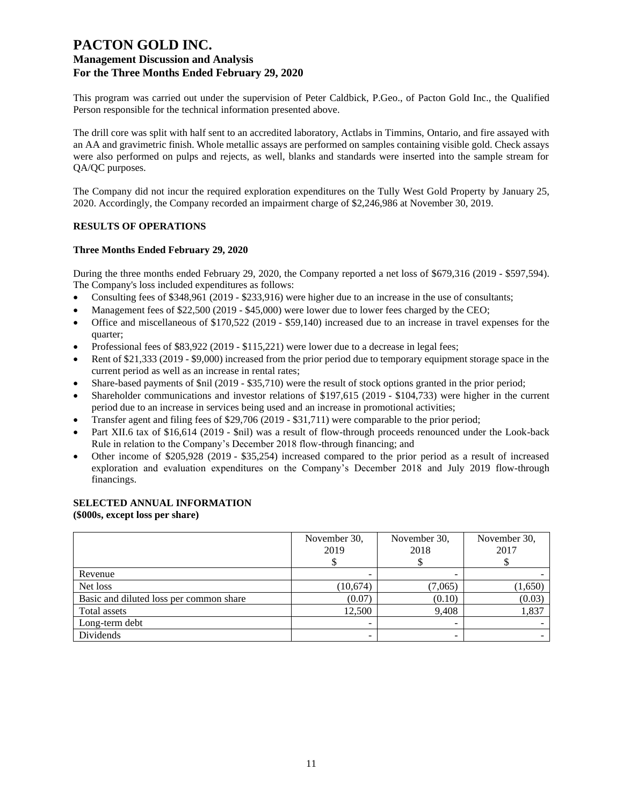This program was carried out under the supervision of Peter Caldbick, P.Geo., of Pacton Gold Inc., the Qualified Person responsible for the technical information presented above.

The drill core was split with half sent to an accredited laboratory, Actlabs in Timmins, Ontario, and fire assayed with an AA and gravimetric finish. Whole metallic assays are performed on samples containing visible gold. Check assays were also performed on pulps and rejects, as well, blanks and standards were inserted into the sample stream for QA/QC purposes.

The Company did not incur the required exploration expenditures on the Tully West Gold Property by January 25, 2020. Accordingly, the Company recorded an impairment charge of \$2,246,986 at November 30, 2019.

### **RESULTS OF OPERATIONS**

#### **Three Months Ended February 29, 2020**

During the three months ended February 29, 2020, the Company reported a net loss of \$679,316 (2019 - \$597,594). The Company's loss included expenditures as follows:

- Consulting fees of \$348,961 (2019 \$233,916) were higher due to an increase in the use of consultants;
- Management fees of \$22,500 (2019 \$45,000) were lower due to lower fees charged by the CEO;
- Office and miscellaneous of \$170,522 (2019 \$59,140) increased due to an increase in travel expenses for the quarter;
- Professional fees of \$83,922 (2019 \$115,221) were lower due to a decrease in legal fees;
- Rent of \$21,333 (2019 \$9,000) increased from the prior period due to temporary equipment storage space in the current period as well as an increase in rental rates;
- Share-based payments of \$nil (2019 \$35,710) were the result of stock options granted in the prior period;
- Shareholder communications and investor relations of \$197,615 (2019 \$104,733) were higher in the current period due to an increase in services being used and an increase in promotional activities;
- Transfer agent and filing fees of \$29,706 (2019 \$31,711) were comparable to the prior period;
- Part XII.6 tax of \$16,614 (2019 \$nil) was a result of flow-through proceeds renounced under the Look-back Rule in relation to the Company's December 2018 flow-through financing; and
- Other income of \$205,928 (2019 \$35,254) increased compared to the prior period as a result of increased exploration and evaluation expenditures on the Company's December 2018 and July 2019 flow-through financings.

### **SELECTED ANNUAL INFORMATION**

**(\$000s, except loss per share)**

|                                         | November 30.<br>2019 | November 30,<br>2018 | November 30,<br>2017 |  |
|-----------------------------------------|----------------------|----------------------|----------------------|--|
| Revenue                                 |                      |                      |                      |  |
| Net loss                                | (10,674)             | (7,065)              | (1,650)              |  |
| Basic and diluted loss per common share | (0.07)               | (0.10)               | (0.03)               |  |
| Total assets                            | 12,500               | 9,408                | 1,837                |  |
| Long-term debt                          | -                    |                      |                      |  |
| Dividends                               | -                    | -                    |                      |  |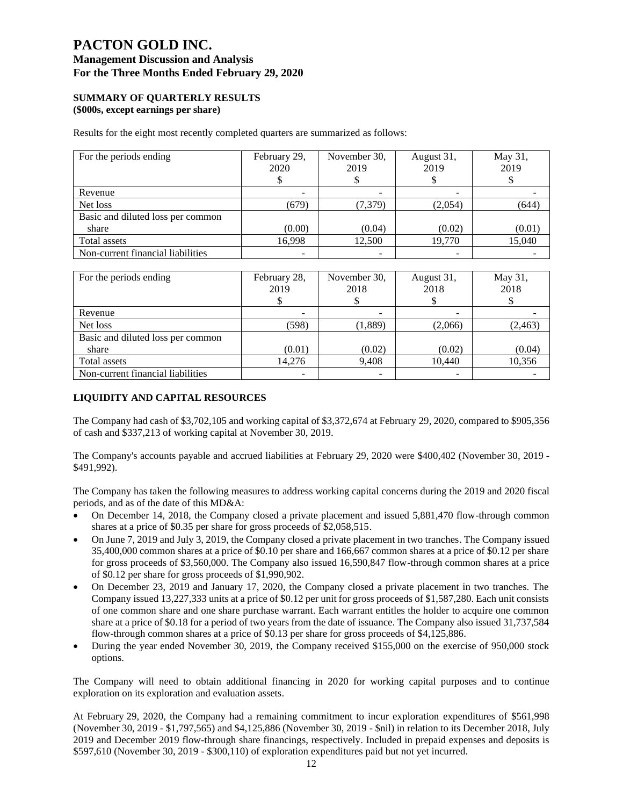### **Management Discussion and Analysis For the Three Months Ended February 29, 2020**

#### **SUMMARY OF QUARTERLY RESULTS (\$000s, except earnings per share)**

Results for the eight most recently completed quarters are summarized as follows:

| For the periods ending            | February 29,<br>2020 | November 30,<br>2019 | August 31,<br>2019 | May 31,<br>2019 |
|-----------------------------------|----------------------|----------------------|--------------------|-----------------|
| Revenue                           |                      |                      |                    |                 |
| Net loss                          | (679)                | (7,379)              | (2,054)            | (644)           |
| Basic and diluted loss per common |                      |                      |                    |                 |
| share                             | (0.00)               | (0.04)               | (0.02)             | (0.01)          |
| Total assets                      | 16,998               | 12,500               | 19,770             | 15,040          |
| Non-current financial liabilities |                      | ۰                    | -                  |                 |

| For the periods ending            | February 28,<br>2019 | November 30,<br>2018 | August 31,<br>2018 | May 31,<br>2018 |
|-----------------------------------|----------------------|----------------------|--------------------|-----------------|
| Revenue                           |                      |                      |                    |                 |
| Net loss                          | (598)                | (1,889)              | (2,066)            | (2, 463)        |
| Basic and diluted loss per common |                      |                      |                    |                 |
| share                             | (0.01)               | (0.02)               | (0.02)             | (0.04)          |
| Total assets                      | 14,276               | 9,408                | 10,440             | 10,356          |
| Non-current financial liabilities |                      |                      |                    |                 |

### **LIQUIDITY AND CAPITAL RESOURCES**

The Company had cash of \$3,702,105 and working capital of \$3,372,674 at February 29, 2020, compared to \$905,356 of cash and \$337,213 of working capital at November 30, 2019.

The Company's accounts payable and accrued liabilities at February 29, 2020 were \$400,402 (November 30, 2019 - \$491,992).

The Company has taken the following measures to address working capital concerns during the 2019 and 2020 fiscal periods, and as of the date of this MD&A:

- On December 14, 2018, the Company closed a private placement and issued 5,881,470 flow-through common shares at a price of \$0.35 per share for gross proceeds of \$2,058,515.
- On June 7, 2019 and July 3, 2019, the Company closed a private placement in two tranches. The Company issued 35,400,000 common shares at a price of \$0.10 per share and 166,667 common shares at a price of \$0.12 per share for gross proceeds of \$3,560,000. The Company also issued 16,590,847 flow-through common shares at a price of \$0.12 per share for gross proceeds of \$1,990,902.
- On December 23, 2019 and January 17, 2020, the Company closed a private placement in two tranches. The Company issued 13,227,333 units at a price of \$0.12 per unit for gross proceeds of \$1,587,280. Each unit consists of one common share and one share purchase warrant. Each warrant entitles the holder to acquire one common share at a price of \$0.18 for a period of two years from the date of issuance. The Company also issued 31,737,584 flow-through common shares at a price of \$0.13 per share for gross proceeds of \$4,125,886.
- During the year ended November 30, 2019, the Company received \$155,000 on the exercise of 950,000 stock options.

The Company will need to obtain additional financing in 2020 for working capital purposes and to continue exploration on its exploration and evaluation assets.

At February 29, 2020, the Company had a remaining commitment to incur exploration expenditures of \$561,998 (November 30, 2019 - \$1,797,565) and \$4,125,886 (November 30, 2019 - \$nil) in relation to its December 2018, July 2019 and December 2019 flow-through share financings, respectively. Included in prepaid expenses and deposits is \$597,610 (November 30, 2019 - \$300,110) of exploration expenditures paid but not yet incurred.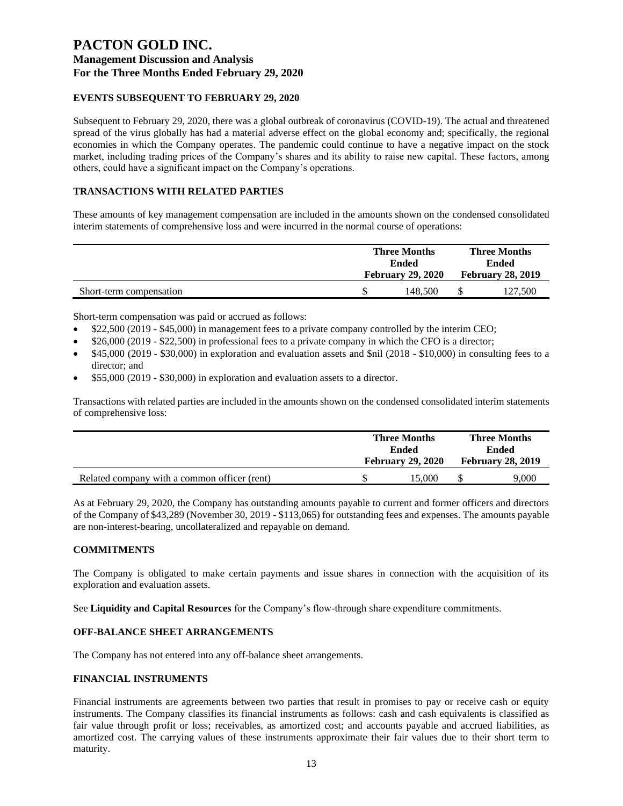### **EVENTS SUBSEQUENT TO FEBRUARY 29, 2020**

Subsequent to February 29, 2020, there was a global outbreak of coronavirus (COVID-19). The actual and threatened spread of the virus globally has had a material adverse effect on the global economy and; specifically, the regional economies in which the Company operates. The pandemic could continue to have a negative impact on the stock market, including trading prices of the Company's shares and its ability to raise new capital. These factors, among others, could have a significant impact on the Company's operations.

### **TRANSACTIONS WITH RELATED PARTIES**

These amounts of key management compensation are included in the amounts shown on the condensed consolidated interim statements of comprehensive loss and were incurred in the normal course of operations:

|                         | <b>Three Months</b><br>Ended<br><b>February 29, 2020</b> |         | <b>Three Months</b><br>Ended<br><b>February 28, 2019</b> |         |
|-------------------------|----------------------------------------------------------|---------|----------------------------------------------------------|---------|
|                         |                                                          |         |                                                          |         |
| Short-term compensation |                                                          | 148.500 |                                                          | 127,500 |

Short-term compensation was paid or accrued as follows:

- \$22,500 (2019 \$45,000) in management fees to a private company controlled by the interim CEO;
- \$26,000 (2019 \$22,500) in professional fees to a private company in which the CFO is a director;
- \$45,000 (2019 \$30,000) in exploration and evaluation assets and \$nil (2018 \$10,000) in consulting fees to a director; and
- \$55,000 (2019 \$30,000) in exploration and evaluation assets to a director.

Transactions with related parties are included in the amounts shown on the condensed consolidated interim statements of comprehensive loss:

|                                              | <b>Three Months</b><br>Ended<br><b>February 29, 2020</b> |        | <b>Three Months</b><br><b>Ended</b> |                          |
|----------------------------------------------|----------------------------------------------------------|--------|-------------------------------------|--------------------------|
|                                              |                                                          |        |                                     | <b>February 28, 2019</b> |
| Related company with a common officer (rent) |                                                          | 15.000 |                                     | 9,000                    |

As at February 29, 2020, the Company has outstanding amounts payable to current and former officers and directors of the Company of \$43,289 (November 30, 2019 - \$113,065) for outstanding fees and expenses. The amounts payable are non-interest-bearing, uncollateralized and repayable on demand.

### **COMMITMENTS**

The Company is obligated to make certain payments and issue shares in connection with the acquisition of its exploration and evaluation assets.

See **Liquidity and Capital Resources** for the Company's flow-through share expenditure commitments.

### **OFF-BALANCE SHEET ARRANGEMENTS**

The Company has not entered into any off-balance sheet arrangements.

#### **FINANCIAL INSTRUMENTS**

Financial instruments are agreements between two parties that result in promises to pay or receive cash or equity instruments. The Company classifies its financial instruments as follows: cash and cash equivalents is classified as fair value through profit or loss; receivables, as amortized cost; and accounts payable and accrued liabilities, as amortized cost. The carrying values of these instruments approximate their fair values due to their short term to maturity.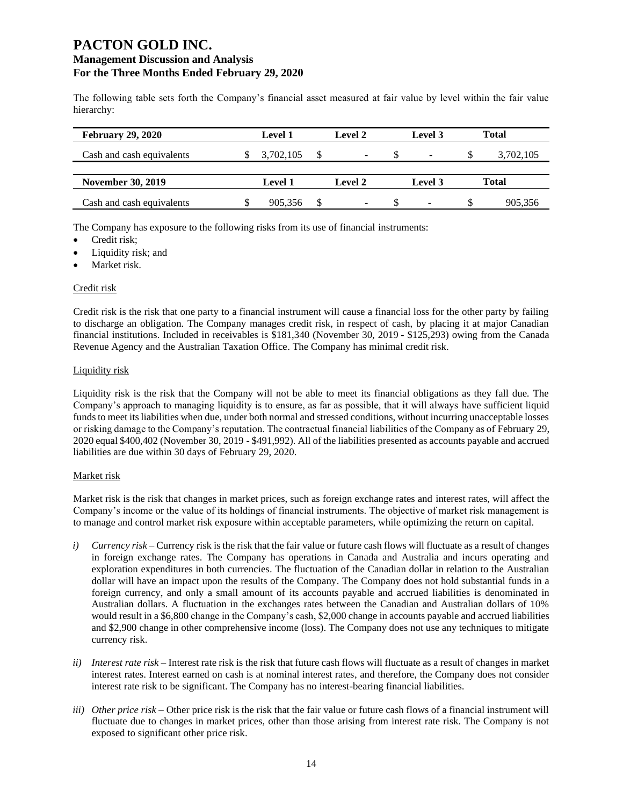The following table sets forth the Company's financial asset measured at fair value by level within the fair value hierarchy:

| <b>February 29, 2020</b>  | <b>Level 1</b> | Level 2 | Level 3                  |    | <b>Total</b> |
|---------------------------|----------------|---------|--------------------------|----|--------------|
| Cash and cash equivalents | 3,702,105      | -       |                          | Ъ  | 3,702,105    |
| <b>November 30, 2019</b>  | <b>Level 1</b> | Level 2 | Level 3                  |    | Total        |
| Cash and cash equivalents | 905.356        | -       | $\overline{\phantom{a}}$ | S. | 905.356      |

The Company has exposure to the following risks from its use of financial instruments:

- Credit risk;
- Liquidity risk; and
- Market risk.

### Credit risk

Credit risk is the risk that one party to a financial instrument will cause a financial loss for the other party by failing to discharge an obligation. The Company manages credit risk, in respect of cash, by placing it at major Canadian financial institutions. Included in receivables is \$181,340 (November 30, 2019 - \$125,293) owing from the Canada Revenue Agency and the Australian Taxation Office. The Company has minimal credit risk.

#### Liquidity risk

Liquidity risk is the risk that the Company will not be able to meet its financial obligations as they fall due. The Company's approach to managing liquidity is to ensure, as far as possible, that it will always have sufficient liquid funds to meet its liabilities when due, under both normal and stressed conditions, without incurring unacceptable losses or risking damage to the Company's reputation. The contractual financial liabilities of the Company as of February 29, 2020 equal \$400,402 (November 30, 2019 - \$491,992). All of the liabilities presented as accounts payable and accrued liabilities are due within 30 days of February 29, 2020.

### Market risk

Market risk is the risk that changes in market prices, such as foreign exchange rates and interest rates, will affect the Company's income or the value of its holdings of financial instruments. The objective of market risk management is to manage and control market risk exposure within acceptable parameters, while optimizing the return on capital.

- *i) Currency risk*  Currency risk is the risk that the fair value or future cash flows will fluctuate as a result of changes in foreign exchange rates. The Company has operations in Canada and Australia and incurs operating and exploration expenditures in both currencies. The fluctuation of the Canadian dollar in relation to the Australian dollar will have an impact upon the results of the Company. The Company does not hold substantial funds in a foreign currency, and only a small amount of its accounts payable and accrued liabilities is denominated in Australian dollars. A fluctuation in the exchanges rates between the Canadian and Australian dollars of 10% would result in a \$6,800 change in the Company's cash, \$2,000 change in accounts payable and accrued liabilities and \$2,900 change in other comprehensive income (loss). The Company does not use any techniques to mitigate currency risk.
- *ii) Interest rate risk –* Interest rate risk is the risk that future cash flows will fluctuate as a result of changes in market interest rates. Interest earned on cash is at nominal interest rates, and therefore, the Company does not consider interest rate risk to be significant. The Company has no interest-bearing financial liabilities.
- *iii) Other price risk –* Other price risk is the risk that the fair value or future cash flows of a financial instrument will fluctuate due to changes in market prices, other than those arising from interest rate risk. The Company is not exposed to significant other price risk.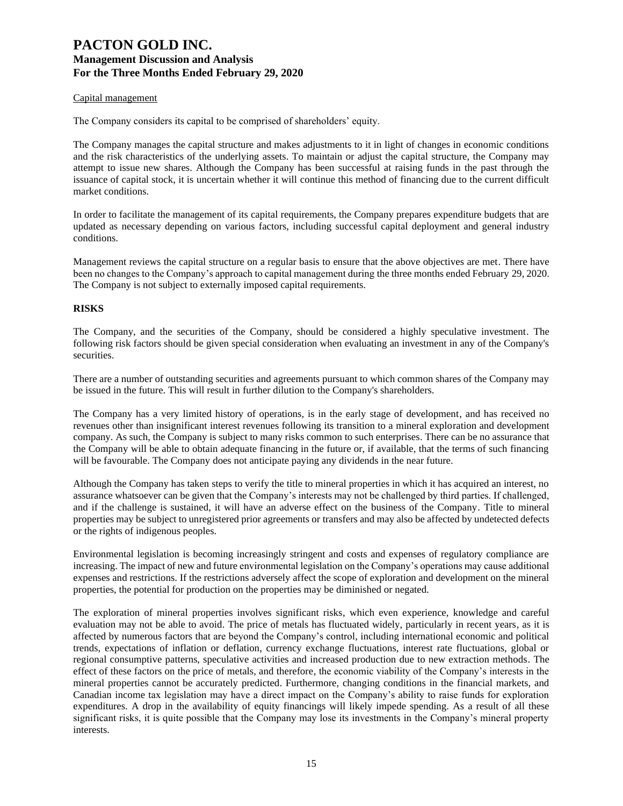#### Capital management

The Company considers its capital to be comprised of shareholders' equity.

The Company manages the capital structure and makes adjustments to it in light of changes in economic conditions and the risk characteristics of the underlying assets. To maintain or adjust the capital structure, the Company may attempt to issue new shares. Although the Company has been successful at raising funds in the past through the issuance of capital stock, it is uncertain whether it will continue this method of financing due to the current difficult market conditions.

In order to facilitate the management of its capital requirements, the Company prepares expenditure budgets that are updated as necessary depending on various factors, including successful capital deployment and general industry conditions.

Management reviews the capital structure on a regular basis to ensure that the above objectives are met. There have been no changes to the Company's approach to capital management during the three months ended February 29, 2020. The Company is not subject to externally imposed capital requirements.

#### **RISKS**

The Company, and the securities of the Company, should be considered a highly speculative investment. The following risk factors should be given special consideration when evaluating an investment in any of the Company's securities.

There are a number of outstanding securities and agreements pursuant to which common shares of the Company may be issued in the future. This will result in further dilution to the Company's shareholders.

The Company has a very limited history of operations, is in the early stage of development, and has received no revenues other than insignificant interest revenues following its transition to a mineral exploration and development company. As such, the Company is subject to many risks common to such enterprises. There can be no assurance that the Company will be able to obtain adequate financing in the future or, if available, that the terms of such financing will be favourable. The Company does not anticipate paying any dividends in the near future.

Although the Company has taken steps to verify the title to mineral properties in which it has acquired an interest, no assurance whatsoever can be given that the Company's interests may not be challenged by third parties. If challenged, and if the challenge is sustained, it will have an adverse effect on the business of the Company. Title to mineral properties may be subject to unregistered prior agreements or transfers and may also be affected by undetected defects or the rights of indigenous peoples.

Environmental legislation is becoming increasingly stringent and costs and expenses of regulatory compliance are increasing. The impact of new and future environmental legislation on the Company's operations may cause additional expenses and restrictions. If the restrictions adversely affect the scope of exploration and development on the mineral properties, the potential for production on the properties may be diminished or negated.

The exploration of mineral properties involves significant risks, which even experience, knowledge and careful evaluation may not be able to avoid. The price of metals has fluctuated widely, particularly in recent years, as it is affected by numerous factors that are beyond the Company's control, including international economic and political trends, expectations of inflation or deflation, currency exchange fluctuations, interest rate fluctuations, global or regional consumptive patterns, speculative activities and increased production due to new extraction methods. The effect of these factors on the price of metals, and therefore, the economic viability of the Company's interests in the mineral properties cannot be accurately predicted. Furthermore, changing conditions in the financial markets, and Canadian income tax legislation may have a direct impact on the Company's ability to raise funds for exploration expenditures. A drop in the availability of equity financings will likely impede spending. As a result of all these significant risks, it is quite possible that the Company may lose its investments in the Company's mineral property interests.